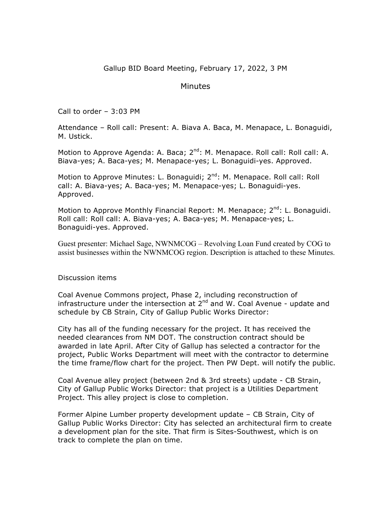Gallup BID Board Meeting, February 17, 2022, 3 PM

## Minutes

Call to order – 3:03 PM

Attendance – Roll call: Present: A. Biava A. Baca, M. Menapace, L. Bonaguidi, M. Ustick.

Motion to Approve Agenda: A. Baca; 2<sup>nd</sup>: M. Menapace. Roll call: Roll call: A. Biava-yes; A. Baca-yes; M. Menapace-yes; L. Bonaguidi-yes. Approved.

Motion to Approve Minutes: L. Bonaguidi; 2<sup>nd</sup>: M. Menapace. Roll call: Roll call: A. Biava-yes; A. Baca-yes; M. Menapace-yes; L. Bonaguidi-yes. Approved.

Motion to Approve Monthly Financial Report: M. Menapace; 2<sup>nd</sup>: L. Bonaguidi. Roll call: Roll call: A. Biava-yes; A. Baca-yes; M. Menapace-yes; L. Bonaguidi-yes. Approved.

Guest presenter: Michael Sage, NWNMCOG – Revolving Loan Fund created by COG to assist businesses within the NWNMCOG region. Description is attached to these Minutes.

## Discussion items

Coal Avenue Commons project, Phase 2, including reconstruction of infrastructure under the intersection at  $2^{nd}$  and W. Coal Avenue - update and schedule by CB Strain, City of Gallup Public Works Director:

City has all of the funding necessary for the project. It has received the needed clearances from NM DOT. The construction contract should be awarded in late April. After City of Gallup has selected a contractor for the project, Public Works Department will meet with the contractor to determine the time frame/flow chart for the project. Then PW Dept. will notify the public.

Coal Avenue alley project (between 2nd & 3rd streets) update - CB Strain, City of Gallup Public Works Director: that project is a Utilities Department Project. This alley project is close to completion.

Former Alpine Lumber property development update – CB Strain, City of Gallup Public Works Director: City has selected an architectural firm to create a development plan for the site. That firm is Sites-Southwest, which is on track to complete the plan on time.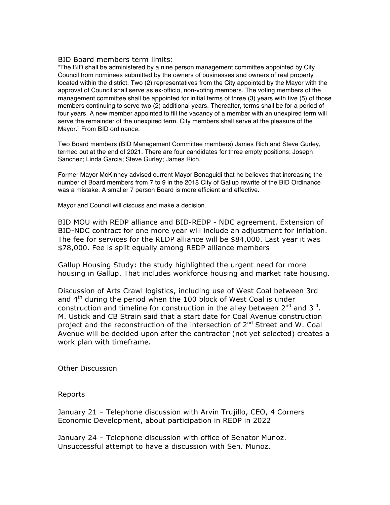## BID Board members term limits:

"The BID shall be administered by a nine person management committee appointed by City Council from nominees submitted by the owners of businesses and owners of real property located within the district. Two (2) representatives from the City appointed by the Mayor with the approval of Council shall serve as ex-officio, non-voting members. The voting members of the management committee shall be appointed for initial terms of three (3) years with five (5) of those members continuing to serve two (2) additional years. Thereafter, terms shall be for a period of four years. A new member appointed to fill the vacancy of a member with an unexpired term will serve the remainder of the unexpired term. City members shall serve at the pleasure of the Mayor." From BID ordinance.

Two Board members (BID Management Committee members) James Rich and Steve Gurley, termed out at the end of 2021. There are four candidates for three empty positions: Joseph Sanchez; Linda Garcia; Steve Gurley; James Rich.

Former Mayor McKinney advised current Mayor Bonaguidi that he believes that increasing the number of Board members from 7 to 9 in the 2018 City of Gallup rewrite of the BID Ordinance was a mistake. A smaller 7 person Board is more efficient and effective.

Mayor and Council will discuss and make a decision.

BID MOU with REDP alliance and BID-REDP - NDC agreement. Extension of BID-NDC contract for one more year will include an adjustment for inflation. The fee for services for the REDP alliance will be \$84,000. Last year it was \$78,000. Fee is split equally among REDP alliance members

Gallup Housing Study: the study highlighted the urgent need for more housing in Gallup. That includes workforce housing and market rate housing.

Discussion of Arts Crawl logistics, including use of West Coal between 3rd and  $4<sup>th</sup>$  during the period when the 100 block of West Coal is under construction and timeline for construction in the alley between  $2^{nd}$  and  $3^{rd}$ . M. Ustick and CB Strain said that a start date for Coal Avenue construction project and the reconstruction of the intersection of  $2^{nd}$  Street and W. Coal Avenue will be decided upon after the contractor (not yet selected) creates a work plan with timeframe.

Other Discussion

Reports

January 21 – Telephone discussion with Arvin Trujillo, CEO, 4 Corners Economic Development, about participation in REDP in 2022

January 24 – Telephone discussion with office of Senator Munoz. Unsuccessful attempt to have a discussion with Sen. Munoz.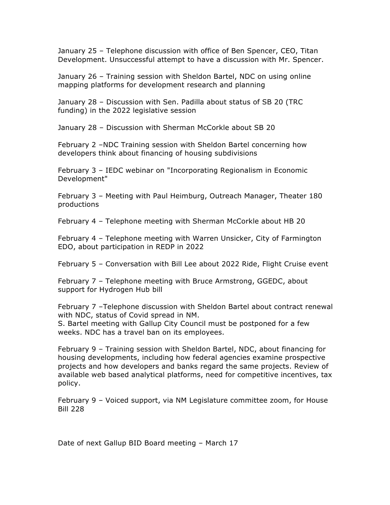January 25 – Telephone discussion with office of Ben Spencer, CEO, Titan Development. Unsuccessful attempt to have a discussion with Mr. Spencer.

January 26 – Training session with Sheldon Bartel, NDC on using online mapping platforms for development research and planning

January 28 – Discussion with Sen. Padilla about status of SB 20 (TRC funding) in the 2022 legislative session

January 28 – Discussion with Sherman McCorkle about SB 20

February 2 –NDC Training session with Sheldon Bartel concerning how developers think about financing of housing subdivisions

February 3 – IEDC webinar on "Incorporating Regionalism in Economic Development"

February 3 – Meeting with Paul Heimburg, Outreach Manager, Theater 180 productions

February 4 – Telephone meeting with Sherman McCorkle about HB 20

February 4 – Telephone meeting with Warren Unsicker, City of Farmington EDO, about participation in REDP in 2022

February 5 – Conversation with Bill Lee about 2022 Ride, Flight Cruise event

February 7 – Telephone meeting with Bruce Armstrong, GGEDC, about support for Hydrogen Hub bill

February 7 –Telephone discussion with Sheldon Bartel about contract renewal with NDC, status of Covid spread in NM.

S. Bartel meeting with Gallup City Council must be postponed for a few weeks. NDC has a travel ban on its employees.

February 9 – Training session with Sheldon Bartel, NDC, about financing for housing developments, including how federal agencies examine prospective projects and how developers and banks regard the same projects. Review of available web based analytical platforms, need for competitive incentives, tax policy.

February 9 – Voiced support, via NM Legislature committee zoom, for House Bill 228

Date of next Gallup BID Board meeting – March 17